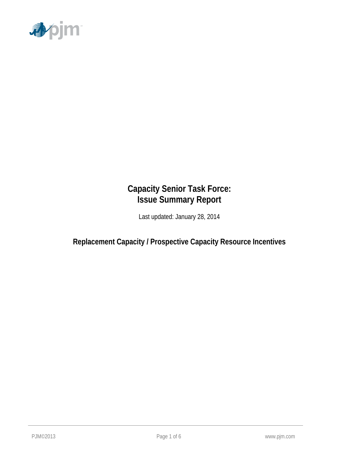

## **Capacity Senior Task Force: Issue Summary Report**

Last updated: January 28, 2014

**Replacement Capacity / Prospective Capacity Resource Incentives**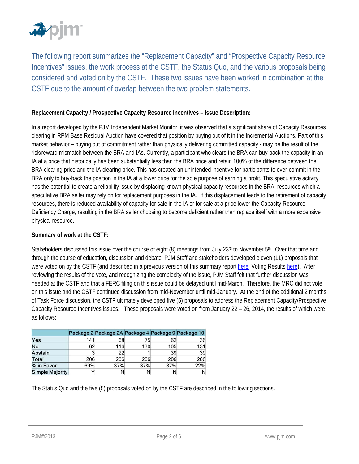

The following report summarizes the "Replacement Capacity" and "Prospective Capacity Resource Incentives" issues, the work process at the CSTF, the Status Quo, and the various proposals being considered and voted on by the CSTF. These two issues have been worked in combination at the CSTF due to the amount of overlap between the two problem statements.

#### **Replacement Capacity / Prospective Capacity Resource Incentives – Issue Description:**

In a report developed by the PJM Independent Market Monitor, it was observed that a significant share of Capacity Resources clearing in RPM Base Residual Auction have covered that position by buying out of it in the Incremental Auctions. Part of this market behavior – buying out of commitment rather than physically delivering committed capacity - may be the result of the risk/reward mismatch between the BRA and IAs. Currently, a participant who clears the BRA can buy-back the capacity in an IA at a price that historically has been substantially less than the BRA price and retain 100% of the difference between the BRA clearing price and the IA clearing price. This has created an unintended incentive for participants to over-commit in the BRA only to buy-back the position in the IA at a lower price for the sole purpose of earning a profit. This speculative activity has the potential to create a reliability issue by displacing known physical capacity resources in the BRA, resources which a speculative BRA seller may rely on for replacement purposes in the IA. If this displacement leads to the retirement of capacity resources, there is reduced availability of capacity for sale in the IA or for sale at a price lower the Capacity Resource Deficiency Charge, resulting in the BRA seller choosing to become deficient rather than replace itself with a more expensive physical resource.

#### **Summary of work at the CSTF:**

Stakeholders discussed this issue over the course of eight  $(8)$  meetings from July 23<sup>rd</sup> to November  $5<sup>th</sup>$ . Over that time and through the course of education, discussion and debate, PJM Staff and stakeholders developed eleven (11) proposals that were voted on by the CSTF (and described in a previous version of this summary report here; Voting Results here). After reviewing the results of the vote, and recognizing the complexity of the issue, PJM Staff felt that further discussion was needed at the CSTF and that a FERC filing on this issue could be delayed until mid-March. Therefore, the MRC did not vote on this issue and the CSTF continued discussion from mid-November until mid-January. At the end of the additional 2 months of Task Force discussion, the CSTF ultimately developed five (5) proposals to address the Replacement Capacity/Prospective Capacity Resource Incentives issues. These proposals were voted on from January 22 – 26, 2014, the results of which were as follows:

|                        |              | Package 2 Package 2A Package 4 Package 9 Package 10 |     |     |     |
|------------------------|--------------|-----------------------------------------------------|-----|-----|-----|
| Yes                    | 141          | 68                                                  | 75  | 62  | 36  |
| No                     | 62           | 116                                                 | 130 | 105 | 131 |
| Abstain                | $\mathbf{z}$ | 22                                                  |     | 39  | 39  |
| Total                  | 206          | 206                                                 | 206 | 206 | 206 |
| % in Favor             | 69%          | 37%                                                 | 37% | 37% | 22% |
| <b>Simple Majority</b> | $\checkmark$ |                                                     |     |     |     |

The Status Quo and the five (5) proposals voted on by the CSTF are described in the following sections.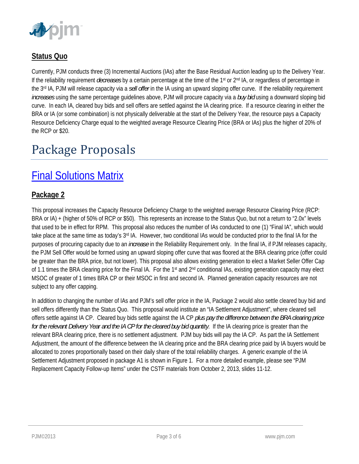

## **Status Quo**

Currently, PJM conducts three (3) Incremental Auctions (IAs) after the Base Residual Auction leading up to the Delivery Year. If the reliability requirement *decreases* by a certain percentage at the time of the 1<sup>st</sup> or 2<sup>nd</sup> IA, or regardless of percentage in the 3rd IA, PJM will release capacity via a *sell offer* in the IA using an upward sloping offer curve. If the reliability requirement *increases* using the same percentage guidelines above, PJM will procure capacity via a *buy bid* using a downward sloping bid curve. In each IA, cleared buy bids and sell offers are settled against the IA clearing price. If a resource clearing in either the BRA or IA (or some combination) is not physically deliverable at the start of the Delivery Year, the resource pays a Capacity Resource Deficiency Charge equal to the weighted average Resource Clearing Price (BRA or IAs) plus the higher of 20% of the RCP or \$20.

# Package Proposals

## Final Solutions Matrix

### **Package 2**

This proposal increases the Capacity Resource Deficiency Charge to the weighted average Resource Clearing Price (RCP: BRA or IA) + (higher of 50% of RCP or \$50). This represents an increase to the Status Quo, but not a return to "2.0x" levels that used to be in effect for RPM. This proposal also reduces the number of IAs conducted to one (1) "Final IA", which would take place at the same time as today's  $3<sup>rd</sup>$  IA. However, two conditional IAs would be conducted prior to the final IA for the purposes of procuring capacity due to an *increase* in the Reliability Requirement only. In the final IA, if PJM releases capacity, the PJM Sell Offer would be formed using an upward sloping offer curve that was floored at the BRA clearing price (offer could be greater than the BRA price, but not lower). This proposal also allows existing generation to elect a Market Seller Offer Cap of 1.1 times the BRA clearing price for the Final IA. For the 1<sup>st</sup> and  $2^{nd}$  conditional IAs, existing generation capacity may elect MSOC of greater of 1 times BRA CP or their MSOC in first and second IA. Planned generation capacity resources are not subject to any offer capping.

In addition to changing the number of IAs and PJM's sell offer price in the IA, Package 2 would also settle cleared buy bid and sell offers differently than the Status Quo. This proposal would institute an "IA Settlement Adjustment", where cleared sell offers settle against IA CP. Cleared buy bids settle against the IA CP *plus pay the difference between the BRA clearing price for the relevant Delivery Year and the IA CP for the cleared buy bid quantity*. If the IA clearing price is greater than the relevant BRA clearing price, there is no settlement adjustment. PJM buy bids will pay the IA CP. As part the IA Settlement Adjustment, the amount of the difference between the IA clearing price and the BRA clearing price paid by IA buyers would be allocated to zones proportionally based on their daily share of the total reliability charges. A generic example of the IA Settlement Adjustment proposed in package A1 is shown in Figure 1. For a more detailed example, please see "PJM Replacement Capacity Follow-up Items" under the CSTF materials from October 2, 2013, slides 11-12.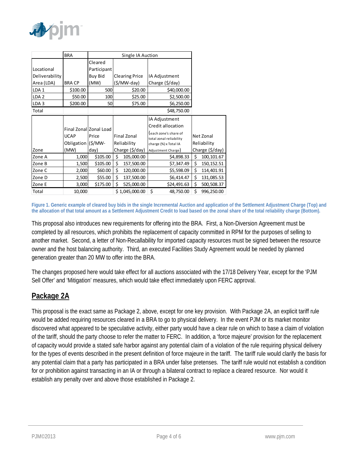

|                  | <b>BRA</b>    | Single IA Auction               |             |                       |                                                            |             |                 |
|------------------|---------------|---------------------------------|-------------|-----------------------|------------------------------------------------------------|-------------|-----------------|
|                  |               | Cleared                         |             |                       |                                                            |             |                 |
| Locational       |               | Participant                     |             |                       |                                                            |             |                 |
| Deliverability   |               | Buy Bid                         |             | <b>Clearing Price</b> | IA Adjustment                                              |             |                 |
| Area (LDA)       | <b>BRA CP</b> | (MW)                            |             | (\$/MW-day)           | Charge (\$/day)                                            |             |                 |
| LDA <sub>1</sub> | \$100.00      | 500                             |             | \$20.00               | \$40,000.00                                                |             |                 |
| LDA <sub>2</sub> | \$50.00       | 100                             |             | \$25.00               | \$2,500.00                                                 |             |                 |
| LDA <sub>3</sub> | \$200.00      | 50                              |             | \$75.00               | \$6,250.00                                                 |             |                 |
| Total            |               |                                 |             |                       | \$48,750.00                                                |             |                 |
|                  | <b>UCAP</b>   | Final Zonal Zonal Load<br>Price |             | <b>Final Zonal</b>    | IA Adjustment<br>Credit allocation<br>each zone's share of |             | Net Zonal       |
|                  | Obligation    | $(S/MW -$                       | Reliability |                       | total zonal reliability<br>charge (%) x Total IA           | Reliability |                 |
| Zone             | (MW)          | day)                            |             | Charge (\$/day)       | Adjustment Charge)                                         |             | Charge (\$/day) |
| Zone A           | 1,000         | \$105.00                        | \$          | 105,000.00            | \$4,898.33                                                 | \$          | 100,101.67      |
| Zone B           | 1,500         | \$105.00                        | \$          | 157,500.00            | \$7,347.49                                                 | \$          | 150, 152.51     |
| Zone C           | 2,000         | \$60.00                         | \$          | 120,000.00            | \$5,598.09                                                 | \$          | 114,401.91      |
| Zone D           | 2,500         | \$55.00                         | \$          | 137,500.00            | \$6,414.47                                                 | \$          | 131,085.53      |
| Zone E           | 3,000         | \$175.00                        | Ś           | 525,000.00            | \$24,491.63                                                | \$          | 500,508.37      |
| Total            | 10,000        |                                 |             | \$1,045,000.00        | \$<br>48,750.00                                            | \$          | 996,250.00      |

**Figure 1. Generic example of cleared buy bids in the single Incremental Auction and application of the Settlement Adjustment Charge (Top) and the allocation of that total amount as a Settlement Adjustment Credit to load based on the zonal share of the total reliability charge (Bottom).** 

This proposal also introduces new requirements for offering into the BRA. First, a Non-Diversion Agreement must be completed by all resources, which prohibits the replacement of capacity committed in RPM for the purposes of selling to another market. Second, a letter of Non-Recallability for imported capacity resources must be signed between the resource owner and the host balancing authority. Third, an executed Facilities Study Agreement would be needed by planned generation greater than 20 MW to offer into the BRA.

The changes proposed here would take effect for all auctions associated with the 17/18 Delivery Year, except for the 'PJM Sell Offer' and 'Mitigation' measures, which would take effect immediately upon FERC approval.

## **Package 2A**

This proposal is the exact same as Package 2, above, except for one key provision. With Package 2A, an explicit tariff rule would be added requiring resources cleared in a BRA to go to physical delivery. In the event PJM or its market monitor discovered what appeared to be speculative activity, either party would have a clear rule on which to base a claim of violation of the tariff, should the party choose to refer the matter to FERC. In addition, a 'force majeure' provision for the replacement of capacity would provide a stated safe harbor against any potential claim of a violation of the rule requiring physical delivery for the types of events described in the present definition of force majeure in the tariff. The tariff rule would clarify the basis for any potential claim that a party has participated in a BRA under false pretenses. The tariff rule would not establish a condition for or prohibition against transacting in an IA or through a bilateral contract to replace a cleared resource. Nor would it establish any penalty over and above those established in Package 2.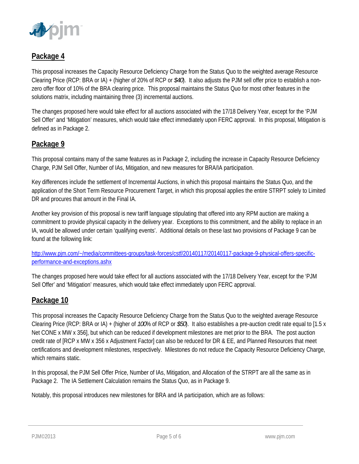

## **Package 4**

This proposal increases the Capacity Resource Deficiency Charge from the Status Quo to the weighted average Resource Clearing Price (RCP: BRA or IA) + (higher of 20% of RCP or *\$40*). It also adjusts the PJM sell offer price to establish a nonzero offer floor of 10% of the BRA clearing price. This proposal maintains the Status Quo for most other features in the solutions matrix, including maintaining three (3) incremental auctions.

The changes proposed here would take effect for all auctions associated with the 17/18 Delivery Year, except for the 'PJM Sell Offer' and 'Mitigation' measures, which would take effect immediately upon FERC approval. In this proposal, Mitigation is defined as in Package 2.

#### **Package 9**

This proposal contains many of the same features as in Package 2, including the increase in Capacity Resource Deficiency Charge, PJM Sell Offer, Number of IAs, Mitigation, and new measures for BRA/IA participation.

Key differences include the settlement of Incremental Auctions, in which this proposal maintains the Status Quo, and the application of the Short Term Resource Procurement Target, in which this proposal applies the entire STRPT solely to Limited DR and procures that amount in the Final IA.

Another key provision of this proposal is new tariff language stipulating that offered into any RPM auction are making a commitment to provide physical capacity in the delivery year. Exceptions to this commitment, and the ability to replace in an IA, would be allowed under certain 'qualifying events'. Additional details on these last two provisions of Package 9 can be found at the following link:

http://www.pjm.com/~/media/committees-groups/task-forces/cstf/20140117/20140117-package-9-physical-offers-specificperformance-and-exceptions.ashx

The changes proposed here would take effect for all auctions associated with the 17/18 Delivery Year, except for the 'PJM Sell Offer' and 'Mitigation' measures, which would take effect immediately upon FERC approval.

### **Package 10**

This proposal increases the Capacity Resource Deficiency Charge from the Status Quo to the weighted average Resource Clearing Price (RCP: BRA or IA) + (higher of *100*% of RCP or *\$50*). It also establishes a pre-auction credit rate equal to [1.5 x Net CONE x MW x 356], but which can be reduced if development milestones are met prior to the BRA. The post auction credit rate of [RCP x MW x 356 x Adjustment Factor] can also be reduced for DR & EE, and Planned Resources that meet certifications and development milestones, respectively. Milestones do not reduce the Capacity Resource Deficiency Charge, which remains static.

In this proposal, the PJM Sell Offer Price, Number of IAs, Mitigation, and Allocation of the STRPT are all the same as in Package 2. The IA Settlement Calculation remains the Status Quo, as in Package 9.

Notably, this proposal introduces new milestones for BRA and IA participation, which are as follows: